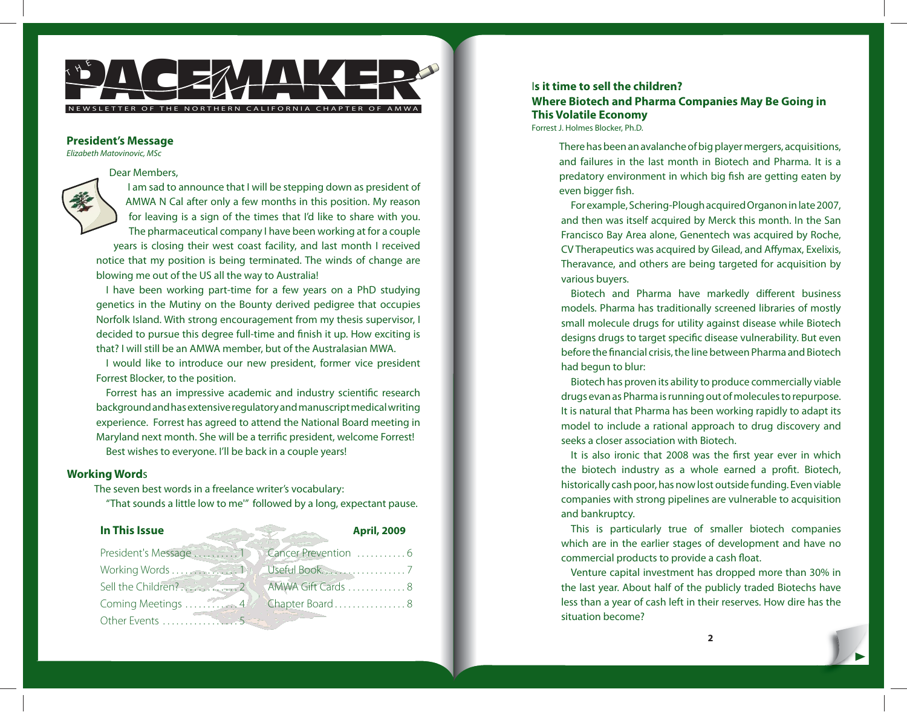

### **President's Message**

Elizabeth Matovinovic, MSc

#### Dear Members,



I am sad to announce that I will be stepping down as president of AMWA N Cal after only a few months in this position. My reason for leaving is a sign of the times that I'd like to share with you. The pharmaceutical company I have been working at for a couple

years is closing their west coast facility, and last month I received notice that my position is being terminated. The winds of change are blowing me out of the US all the way to Australia!

I have been working part-time for a few years on a PhD studying genetics in the Mutiny on the Bounty derived pedigree that occupies Norfolk Island. With strong encouragement from my thesis supervisor, I decided to pursue this degree full-time and finish it up. How exciting is that? I will still be an AMWA member, but of the Australasian MWA.

I would like to introduce our new president, former vice president Forrest Blocker, to the position.

Forrest has an impressive academic and industry scientific research background and has extensive regulatory and manuscript medical writing experience. Forrest has agreed to attend the National Board meeting in Maryland next month. She will be a terrific president, welcome Forrest! Best wishes to everyone. I'll be back in a couple years!

### **Working Word**s

The seven best words in a freelance writer's vocabulary:

"That sounds a little low to me'" followed by a long, expectant pause.

| In This Issue       | <b>April, 2009</b>   |
|---------------------|----------------------|
| President's Message | Cancer Prevention  6 |
|                     |                      |
|                     |                      |
| Coming Meetings  4  | Chapter Board8       |
| Other Events        |                      |

### I**s it time to sell the children?**

**Where Biotech and Pharma Companies May Be Going in This Volatile Economy**  Forrest J. Holmes Blocker, Ph.D.

There has been an avalanche of big player mergers, acquisitions, and failures in the last month in Biotech and Pharma. It is a predatory environment in which big fish are getting eaten by even bigger fish.

For example, Schering-Plough acquired Organon in late 2007, and then was itself acquired by Merck this month. In the San Francisco Bay Area alone, Genentech was acquired by Roche, CV Therapeutics was acquired by Gilead, and Affymax, Exelixis, Theravance, and others are being targeted for acquisition by various buyers.

Biotech and Pharma have markedly different business models. Pharma has traditionally screened libraries of mostly small molecule drugs for utility against disease while Biotech designs drugs to target specific disease vulnerability. But even before the financial crisis, the line between Pharma and Biotech had begun to blur:

Biotech has proven its ability to produce commercially viable drugs evan as Pharma is running out of molecules to repurpose. It is natural that Pharma has been working rapidly to adapt its model to include a rational approach to drug discovery and seeks a closer association with Biotech.

It is also ironic that 2008 was the first year ever in which the biotech industry as a whole earned a profit. Biotech, historically cash poor, has now lost outside funding. Even viable companies with strong pipelines are vulnerable to acquisition and bankruptcy.

This is particularly true of smaller biotech companies which are in the earlier stages of development and have no commercial products to provide a cash float.

Venture capital investment has dropped more than 30% in the last year. About half of the publicly traded Biotechs have less than a year of cash left in their reserves. How dire has the situation become?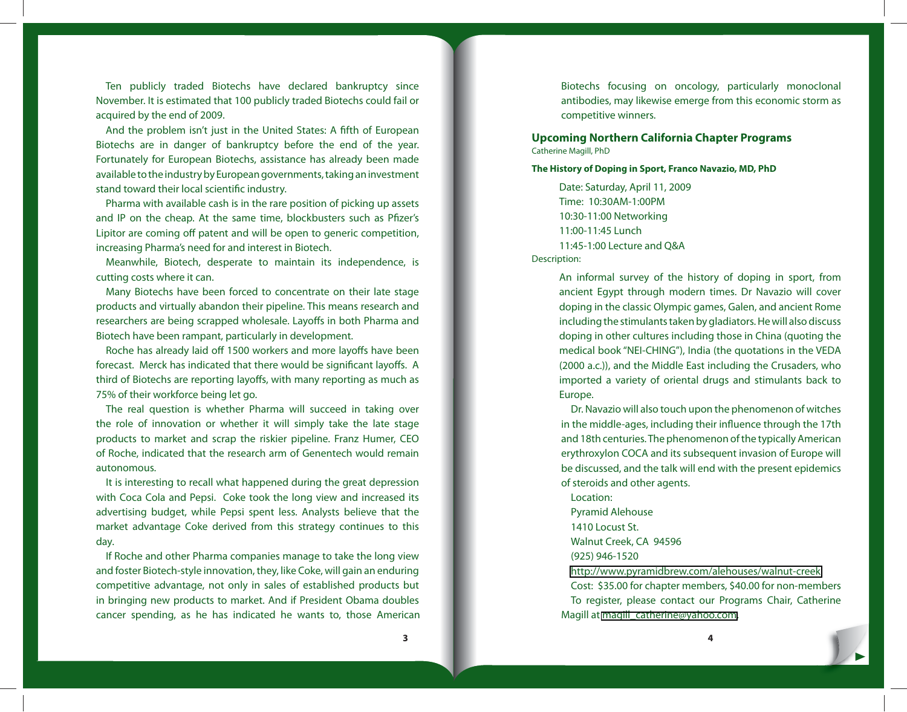Ten publicly traded Biotechs have declared bankruptcy since November. It is estimated that 100 publicly traded Biotechs could fail or acquired by the end of 2009.

And the problem isn't just in the United States: A fifth of European Biotechs are in danger of bankruptcy before the end of the year. Fortunately for European Biotechs, assistance has already been made available to the industry by European governments, taking an investment stand toward their local scientific industry.

Pharma with available cash is in the rare position of picking up assets and IP on the cheap. At the same time, blockbusters such as Pfizer's Lipitor are coming off patent and will be open to generic competition, increasing Pharma's need for and interest in Biotech.

Meanwhile, Biotech, desperate to maintain its independence, is cutting costs where it can.

Many Biotechs have been forced to concentrate on their late stage products and virtually abandon their pipeline. This means research and researchers are being scrapped wholesale. Layoffs in both Pharma and Biotech have been rampant, particularly in development.

Roche has already laid off 1500 workers and more layoffs have been forecast. Merck has indicated that there would be significant layoffs. A third of Biotechs are reporting layoffs, with many reporting as much as 75% of their workforce being let go.

The real question is whether Pharma will succeed in taking over the role of innovation or whether it will simply take the late stage products to market and scrap the riskier pipeline. Franz Humer, CEO of Roche, indicated that the research arm of Genentech would remain autonomous.

It is interesting to recall what happened during the great depression with Coca Cola and Pepsi. Coke took the long view and increased its advertising budget, while Pepsi spent less. Analysts believe that the market advantage Coke derived from this strategy continues to this day.

If Roche and other Pharma companies manage to take the long view and foster Biotech-style innovation, they, like Coke, will gain an enduring competitive advantage, not only in sales of established products but in bringing new products to market. And if President Obama doubles cancer spending, as he has indicated he wants to, those American Biotechs focusing on oncology, particularly monoclonal antibodies, may likewise emerge from this economic storm as competitive winners.

**Upcoming Northern California Chapter Programs** Catherine Magill, PhD

**The History of Doping in Sport, Franco Navazio, MD, PhD**

Date: Saturday, April 11, 2009 Time: 10:30AM-1:00PM 10:30-11:00 Networking 11:00-11:45 Lunch 11:45-1:00 Lecture and Q&A Description:

> An informal survey of the history of doping in sport, from ancient Egypt through modern times. Dr Navazio will cover doping in the classic Olympic games, Galen, and ancient Rome including the stimulants taken by gladiators. He will also discuss doping in other cultures including those in China (quoting the medical book "NEI-CHING"), India (the quotations in the VEDA (2000 a.c.)), and the Middle East including the Crusaders, who imported a variety of oriental drugs and stimulants back to Europe.

> Dr. Navazio will also touch upon the phenomenon of witches in the middle-ages, including their influence through the 17th and 18th centuries. The phenomenon of the typically American erythroxylon COCA and its subsequent invasion of Europe will be discussed, and the talk will end with the present epidemics of steroids and other agents.

Location: Pyramid Alehouse 1410 Locust St. Walnut Creek, CA 94596 (925) 946-1520 <http://www.pyramidbrew.com/alehouses/walnut-creek> Cost: \$35.00 for chapter members, \$40.00 for non-members

To register, please contact our Programs Chair, Catherine Magill at [magill\\_catherine@yahoo.com.](mailto:magill_catherine@yahoo.com)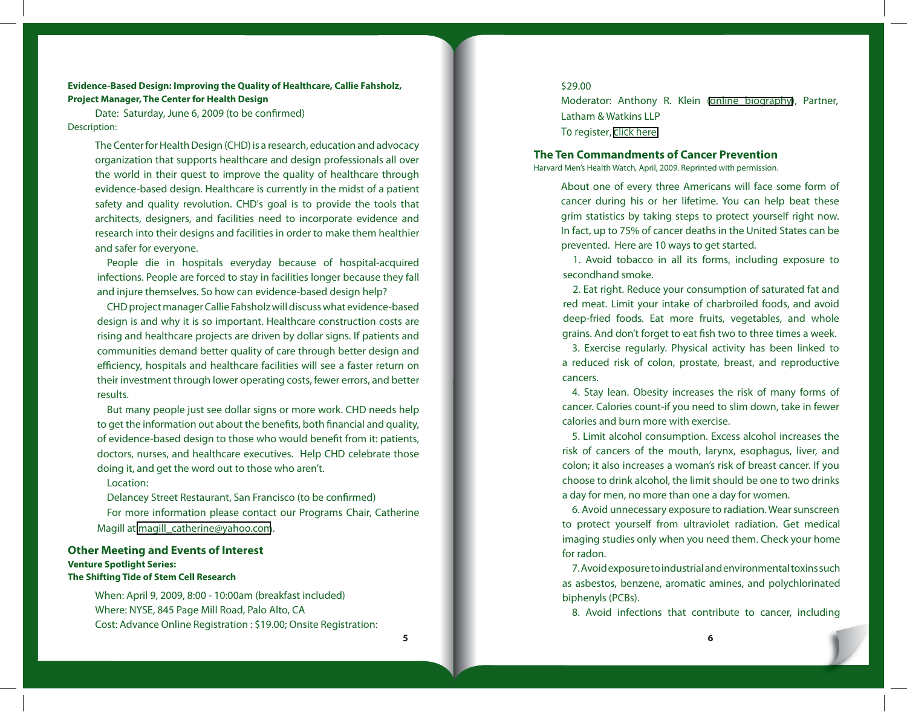**Evidence-Based Design: Improving the Quality of Healthcare, Callie Fahsholz, Project Manager, The Center for Health Design**

Date: Saturday, June 6, 2009 (to be confirmed) Description:

> The Center for Health Design (CHD) is a research, education and advocacy organization that supports healthcare and design professionals all over the world in their quest to improve the quality of healthcare through evidence-based design. Healthcare is currently in the midst of a patient safety and quality revolution. CHD's goal is to provide the tools that architects, designers, and facilities need to incorporate evidence and research into their designs and facilities in order to make them healthier and safer for everyone.

> People die in hospitals everyday because of hospital-acquired infections. People are forced to stay in facilities longer because they fall and injure themselves. So how can evidence-based design help?

> CHD project manager Callie Fahsholz will discuss what evidence-based design is and why it is so important. Healthcare construction costs are rising and healthcare projects are driven by dollar signs. If patients and communities demand better quality of care through better design and efficiency, hospitals and healthcare facilities will see a faster return on their investment through lower operating costs, fewer errors, and better results.

> But many people just see dollar signs or more work. CHD needs help to get the information out about the benefits, both financial and quality, of evidence-based design to those who would benefit from it: patients, doctors, nurses, and healthcare executives. Help CHD celebrate those doing it, and get the word out to those who aren't.

### Location:

Delancey Street Restaurant, San Francisco (to be confirmed) For more information please contact our Programs Chair, Catherine Magill at [magill\\_catherine@yahoo.com](mailto:magill_catherine@yahoo.com).

### **Other Meeting and Events of Interest Venture Spotlight Series: The Shifting Tide of Stem Cell Research**

When: April 9, 2009, 8:00 - 10:00am (breakfast included) Where: NYSE, 845 Page Mill Road, Palo Alto, CA Cost: Advance Online Registration : \$19.00; Onsite Registration:

# \$29.00

Moderator: Anthony R. Klein [\(online biography\)](http://www.lw.com/Attorneys.aspx?page=AttorneyBio&attno=03477), Partner, Latham & Watkins LLP To register, [click h](http://www.acteva.com/booking.cfm?bevaid=180380)ere

### **The Ten Commandments of Cancer Prevention**

Harvard Men's Health Watch, April, 2009. Reprinted with permission.

About one of every three Americans will face some form of cancer during his or her lifetime. You can help beat these grim statistics by taking steps to protect yourself right now. In fact, up to 75% of cancer deaths in the United States can be prevented. Here are 10 ways to get started.

1. Avoid tobacco in all its forms, including exposure to secondhand smoke.

2. Eat right. Reduce your consumption of saturated fat and red meat. Limit your intake of charbroiled foods, and avoid deep-fried foods. Eat more fruits, vegetables, and whole grains. And don't forget to eat fish two to three times a week.

3. Exercise regularly. Physical activity has been linked to a reduced risk of colon, prostate, breast, and reproductive cancers.

4. Stay lean. Obesity increases the risk of many forms of cancer. Calories count-if you need to slim down, take in fewer calories and burn more with exercise.

5. Limit alcohol consumption. Excess alcohol increases the risk of cancers of the mouth, larynx, esophagus, liver, and colon; it also increases a woman's risk of breast cancer. If you choose to drink alcohol, the limit should be one to two drinks a day for men, no more than one a day for women.

6. Avoid unnecessary exposure to radiation. Wear sunscreen to protect yourself from ultraviolet radiation. Get medical imaging studies only when you need them. Check your home for radon.

7. Avoid exposure to industrial and environmental toxins such as asbestos, benzene, aromatic amines, and polychlorinated biphenyls (PCBs).

8. Avoid infections that contribute to cancer, including